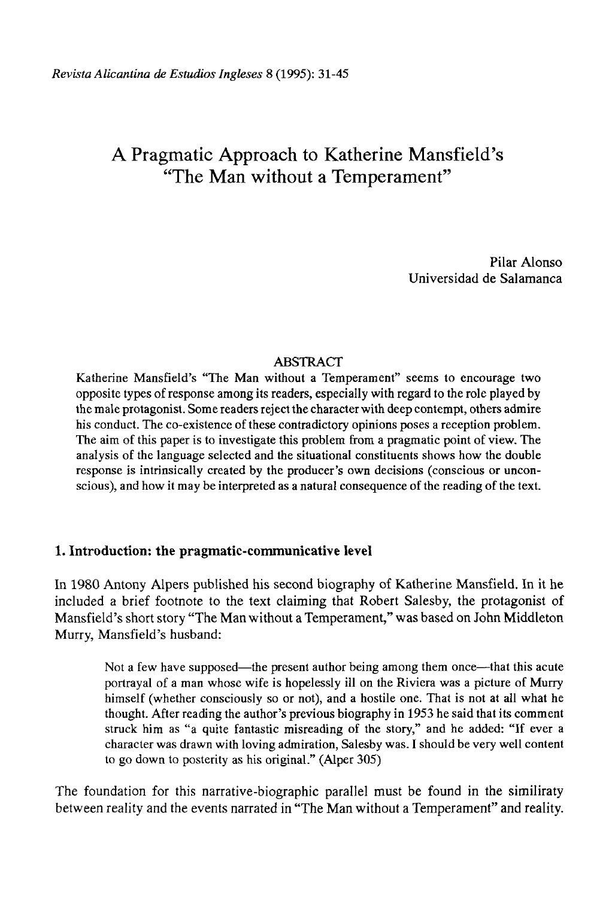# A Pragmatic Approach to Katherine Mansfield's "The Man without a Temperament"

Pilar Alonso Universidad de Salamanca

# ABSTRACT

Katherine Mansfield's "The Man without a Temperament" seems to encourage two opposite types of response among its readers, especially with regard to the role played by the male protagonist. Some readers reject the character with deep contempt, others admire his conduct. The co-existence of these contradictory opinions poses a reception problem. The aim of this paper is to investígate this problem from a pragmatic point of view. The analysis of the language selected and the situational constituents shows how the double response is intrinsically created by the producer's own decisions (conscious or unconscious), and how it may be interpreted as a natural consequence of the reading of the text.

## **1. Introduction: the pragmatic-communicative level**

In 1980 Antony Alpers published his second biography of Katherine Mansfield. In it he included a brief footnote to the text claiming that Robert Salesby, the protagonist of Mansfield's short story "The Man without a Temperament," was based on John Middleton Murry, Mansfield's husband:

Not a few have supposed—the present author being among them once—that this acute portrayal of a man whose wife is hopelessly ill on the Riviera was a picture of Murry himself (whether consciously so or not), and a hostile one. That is not at all what he thought. After reading the author's previous biography in 1953 he said that its comment struck him as "a quite fantastic misreading of the story," and he added: "If ever a character was drawn with loving admiration, Salesby was. I should be very well content to go down to posterity as his original." (Alper 305)

The foundation for this narrative-biographic parallel must be found in the similiraty between reality and the events narrated in "The Man without a Temperament" and reality.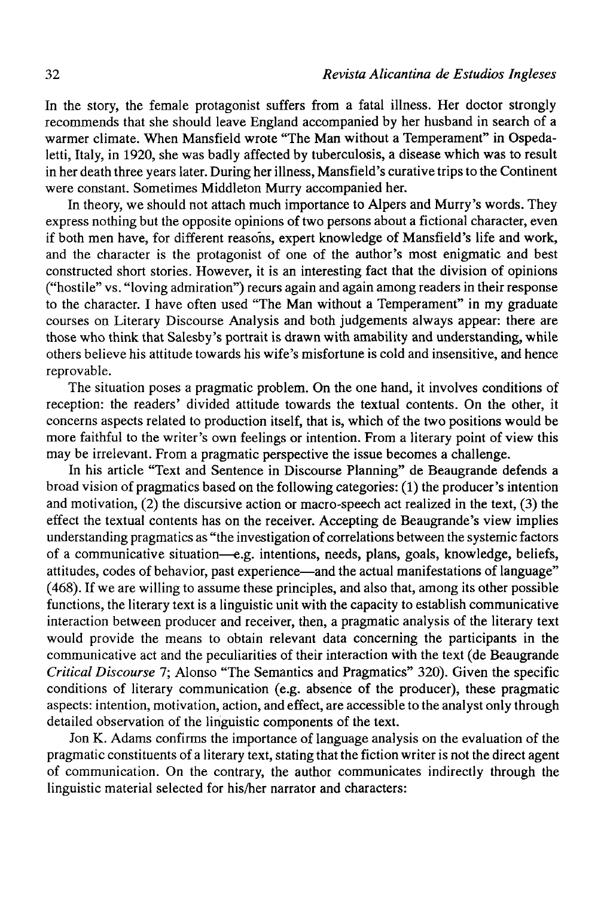In the story, the female protagonist suffers from a fatal illness. Her doctor strongly recommends that she should leave England accompanied by her husband in search of a warmer climate. When Mansfield wrote "The Man without a Temperament" in Ospedaletti, Italy, in 1920, she was badly affected by tuberculosis, a disease which was to result in her death three years later. During her illness, Mansfield's curative trips to the Continent were constant. Sometimes Middleton Murry accompanied her.

In theory, we should not attach much importance to Alpers and Murry's words. They express nothing but the opposite opinions of two persons about a fictional character, even if both men have, for different reasohs, expert knowledge of Mansfield's life and work, and the character is the protagonist of one of the author's most enigmatic and best constructed short stories. However, it is an interesting fact that the división of opinions ("hostile" vs. "loving admiration") recurs again and again among readers in their response to the character. I have often used "The Man without a Temperament" in my gradúate courses on Literary Discourse Analysis and both judgements always appear: there are those who think that Salesby's portrait is drawn with amability and understanding, while others believe his attitude towards his wife's misfortune is cold and insensitive, and henee reprovable.

The situation poses a pragmatic problem. On the one hand, it involves conditions of reception: the readers' divided attitude towards the textual contents. On the other, it concerns aspeets related to production itself, that is, which of the two positions would be more faithful to the writer's own feelings or intention. From a literary point of view this may be irrelevant. From a pragmatic perspective the issue becomes a challenge.

In his article "Text and Sentence in Discourse Planning" de Beaugrande defends a broad visión of pragmatics based on the following categories: (1) the producer's intention and motivation, (2) the discursive action or macro-speech act realized in the text, (3) the effect the textual contents has on the receiver. Accepting de Beaugrande's view implies understanding pragmatics as "the investigation of correlations between the systemic factors of a communicative situation—e.g. intentions, needs, plans, goals, knowledge, beliefs, attitudes, codes of behavior, past experience—and the actual manifestations of language" (468). If we are willing to assume these principies, and also that, among its other possible functions, the literary text is a linguistic unit with the capacity to establish communicative interaction between producer and receiver, then, a pragmatic analysis of the literary text would provide the means to obtain relevant data concerning the participants in the communicative act and the peculiarities of their interaction with the text (de Beaugrande *Critica! Discourse* 7; Alonso "The Semantics and Pragmatics" 320). Given the specific conditions of literary communication (e.g. absence of the producer), these pragmatic aspeets: intention, motivation, action, and effect, are accessible to the analyst only through detailed observation of the linguistic components of the text.

Jon K. Adams confirms the importance of language analysis on the evaluation of the pragmatic constituents of a literary text, stating that the fiction writer is not the direct agent of communication. On the contrary, the author communicates indirectly through the linguistic material selected for his/her narrator and characters: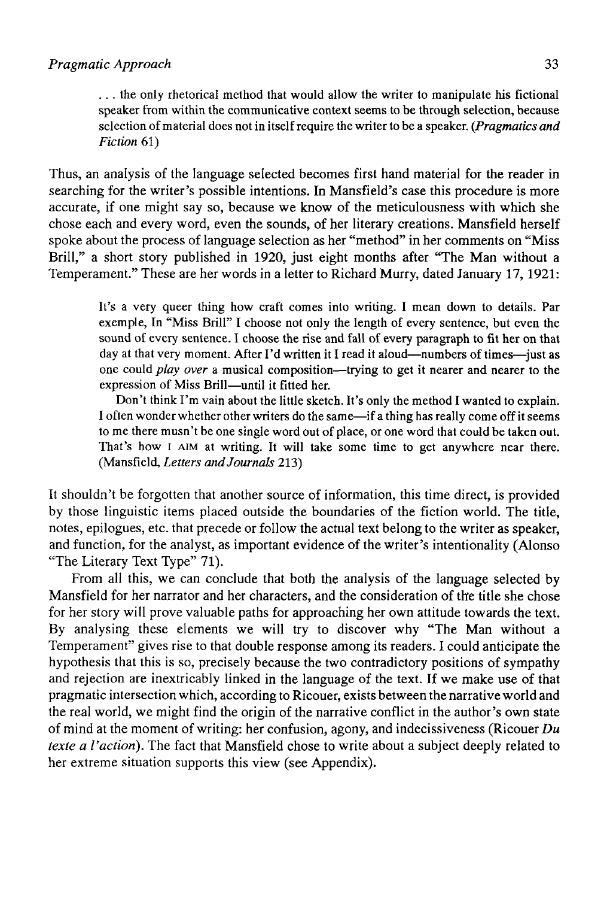... the only rhetorical method that would allow the writer to manipulate his fictional speaker from within the communicative context seems to be through selection, because selection of material does not in itself require the writer to be a speaker. *(Pragmatics and Fiction* 61)

Thus, an analysis of the language selected becomes first hand material for the reader in searching for the writer's possible intentions. In Mansfield's case this procedure is more accurate, if one might say so, because we know of the meticulousness with which she chose each and every word, even the sounds, of her literary creations. Mansfield herself spoke about the process of language selection as her "method" in her comments on "Miss Brill," a short story published in 1920, just eight months after "The Man without a Temperament." These are her words in a letter to Richard Murry, dated January 17,1921:

It's a very queer thing how craft comes into writing. I mean down to details. Par exemple, In "Miss Brill" I choose not only the length of every sentence, but even the sound of every sentence. I choose the rise and fall of every paragraph to fit her on that day at that very moment. After I'd written it I read it aloud—numbers of times—just as one could *play over* a musical composition—trying to get it nearer and nearer to the expression of Miss Brill—until it fitted her.

Don't think I'm vain about the little sketch. It's only the method I wanted to explain. I often wonder whether other writers do the same—if a thing has really come off it seems to me there musn't be one single word out of place, or one word that could be taken out. That's how i AIM at writing. It will take some time to get anywhere near there. (Mansfield, *Letters andJournals* 213)

It shouldn't be forgotten that another source of information, this time direct, is provided by those linguistic items placed outside the boundaries of the fiction world. The title, notes, epilogues, etc. that precede or follow the actual text belong to the writer as speaker, and function, for the analyst, as important evidence of the writer's intentionality (Alonso "The Literary Text Type" 71).

From all this, we can conclude that both the analysis of the language selected by Mansfield for her narrator and her characters, and the consideration of the title she chose for her story will prove valuable paths for approaching her own attitude towards the text. By analysing these elements we will try to discover why "The Man without a Temperament" gives rise to that double response among its readers. I could anticípate the hypothesis that this is so, precisely because the two contradictory positions of sympathy and rejection are inextricably linked in the language of the text. If we make use of that pragmatic intersection which, according to Ricouer, exists between the narrative world and the real world, we might find the origin of the narrative conflict in the author's own state of mind at the moment of writing: her confusión, agony, and indecissiveness (Ricouer *Du texte a l'action).* The fact that Mansfield chose to write about a subject deeply related to her extreme situation supports this view (see Appendix).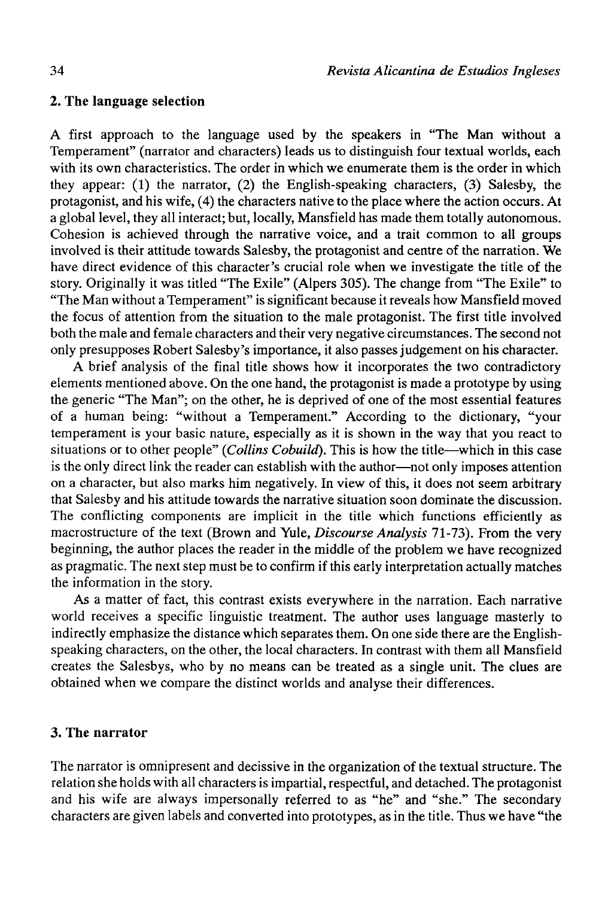## **2. The language selection**

A first approach to the language used by the speakers in "The Man without a Temperament" (narrator and characters) leads us to distinguish four textual worlds, each with its own characteristics. The order in which we enumerate them is the order in which they appear: (1) the narrator, (2) the English-speaking characters, (3) Salesby, the protagonist, and his wife, (4) the characters native to the place where the action occurs. At a global level, they all interact; but, locally, Mansfield has made them totally autonomous. Cohesión is achieved through the narrative voice, and a trait common to all groups involved is their attitude towards Salesby, the protagonist and centre of the narration. We have direct evidence of this character's crucial role when we investígate the title of the story. Originally it was titled "The Exile" (Alpers 305). The change from "The Exile" to "The Man without a Temperament" is significant because it reveals how Mansfield moved the focus of attention from the situation to the male protagonist. The first title involved both the male and female characters and their very negative circumstances. The second not only presupposes Robert Salesby's importance, it also passes judgement on his character.

A brief analysis of the final title shows how it incorporates the two contradictory elements mentioned above. On the one hand, the protagonist is made a prototype by using the generic "The Man"; on the other, he is deprived of one of the most essential features of a human being: "without a Temperament." According to the dictionary, "your temperament is your basic nature, especially as it is shown in the way that you react to situations or to other people" *(Collins Cobuild).* This is how the title—which in this case is the only direct link the reader can establish with the author—not only imposes attention on a character, but also marks him negatively. In view of this, it does not seem arbitrary that Salesby and his attitude towards the narrative situation soon domínate the discussion. The conflicting components are ímplicit in the title which functions efficiently as macrostructure of the text (Brown and Yule, *Discourse Analysis* 71-73). From the very beginning, the author places the reader in the middle of the problem we have recognized as pragmatic. The next step must be to confirm if this early interpretation actually matches the information in the story.

As a matter of fact, this contrast exists everywhere in the narration. Each narrative world receives a specific linguistic treatment. The author uses language masterly to indirectly emphasize the distance which separates them. On one side there are the Englishspeaking characters, on the other, the local characters. In contrast with them all Mansfield creates the Salesbys, who by no means can be treated as a single unit. The clues are obtained when we compare the distinct worlds and analyse their differences.

## **3. The narrator**

The narrator is omnipresent and decissive in the organization of the textual structure. The relation she holds with all characters is impartial, respectful, and detached. The protagonist and his wife are always impersonally referred to as "he" and "she." The secondary characters are given labels and converted into prototypes, as in the title. Thus we have "the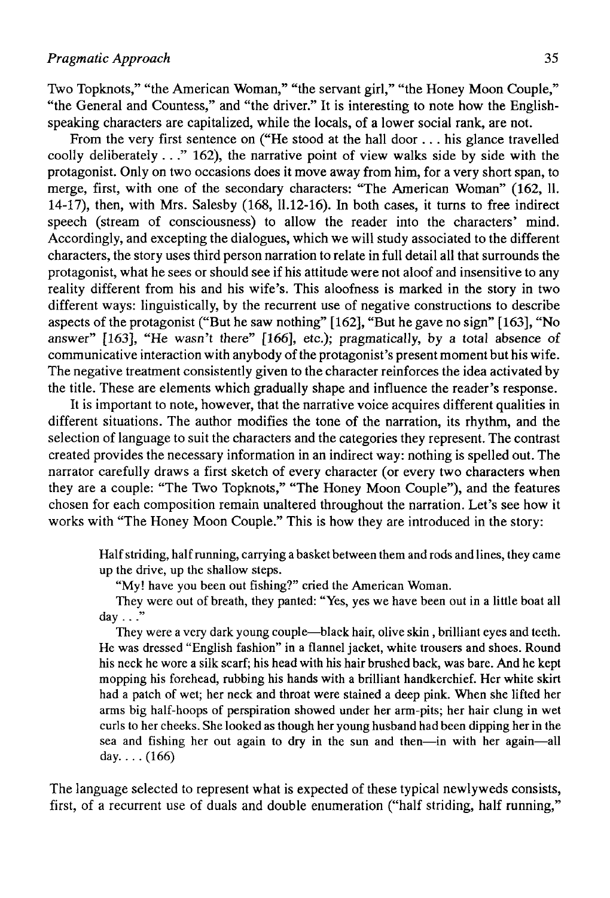Two Topknots," "the American Woman," "the servant girl," "the Honey Moon Couple," "the General and Countess," and "the driver." It is interesting to note how the Englishspeaking characters are capitalized, while the locáis, of a lower social rank, are not.

From the very first sentence on ("He stood at the hall door .. . his glance travelled coolly deliberately  $\dots$  " 162), the narrative point of view walks side by side with the protagonist. Only on two occasions does it move away from him, for a very short span, to merge, first, with one of the secondary characters: "The American Woman" (162, 11. 14-17), then, with Mrs. Salesby (168, 11.12-16). In both cases, it turns to free indirect speech (stream of consciousness) to allow the reader into the characters' mind. Accordingly, and excepting the dialogues, which we will study associated to the different characters, the story uses third person narration to relate in full detail all that surrounds the protagonist, what he sees or should see if his attitude were not aloof and insensitive to any reality different from his and his wife's. This aloofness is marked in the story in two different ways: linguistically, by the recurrent use of negative constructions to describe aspects of the protagonist ("But he saw nothing" [162], "But he gave no sign" [163], "No answer" [163], "He wasn't there" [166], etc.); pragmatically, by a total absence of communicative interaction with anybody of the protagonist's present moment but his wife. The negative treatment consistently given to the character reinforces the idea activated by the title. These are elements which gradually shape and influence the reader's response.

It is important to note, however, that the narrative voice acquires different qualities in different situations. The author modifies the tone of the narration, its rhythm, and the selection of language to suit the characters and the categories they represent. The contrast created provides the necessary information in an indirect way: nothing is spelled out. The narrator carefully draws a first sketch of every character (or every two characters when they are a couple: "The Two Topknots," "The Honey Moon Couple"), and the features chosen for each composition remain unaltered throughout the narration. Let's see how it works with "The Honey Moon Couple." This is how they are introduced in the story:

Half striding, half running, carrying a basket between them and rods and lines, they carne up the drive, up the shallow steps.

"My! have you been out fishing?" cried the American Woman.

They were out of breath, they panted: "Yes, yes we have been out in a little boat all day  $\ldots$ "

They were a very dark young couple—black hair, olive skin, brilliant eyes and teeth. He was dressed "English fashion" in a flannel jacket, white trousers and shoes. Round his neck he wore a silk scarf; his head with his hair brushed back, was bare. And he kept mopping his forehead, rubbing his hands with a brilliant handkerchief. Her white skirt had a patch of wet; her neck and throat were stained a deep pink. When she lifted her arms big half-hoops of perspiration showed under her arm-pits; her hair clung in wet curls to her cheeks. She looked as though her young husband had been dipping her in the sea and fishing her out again to dry in the sun and then—in with her again—all day... $(166)$ 

The language selected to represent what is expected of these typical newlyweds consists, first, of a recurrent use of duals and double enumeration ("half striding, half running,"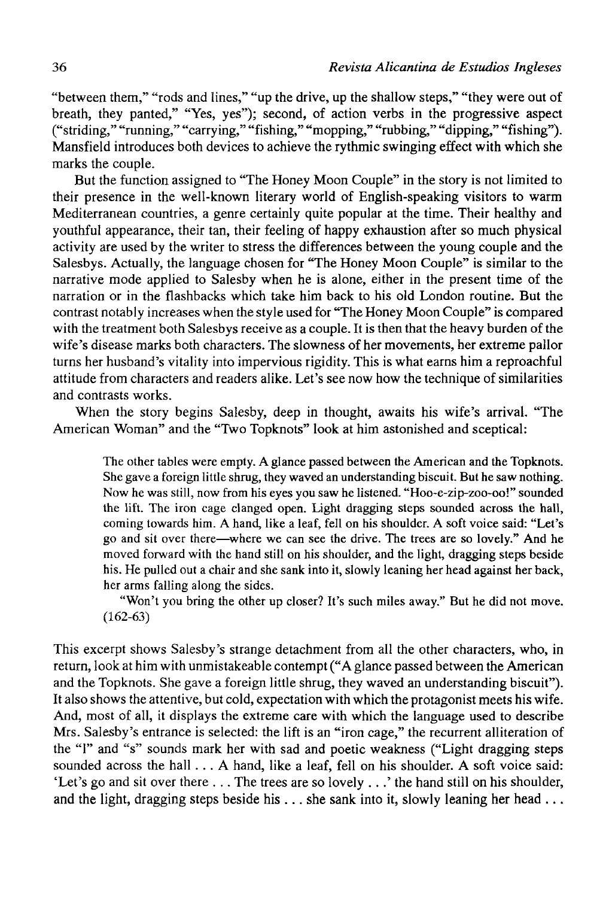"between them," "rods and lines," "up the drive, up the shallow steps," "they were out of breath, they panted," "Yes, yes"); second, of action verbs in the progressive aspect ("striding," "running," "carrying," "fishing," "mopping," "rubbing," "dipping," "fishing"). Mansfield introduces both devices to achieve the rythmic swinging effect with which she marks the couple.

But the function assigned to "The Honey Moon Couple" in the story is not limited to their presence in the well-known literary world of English-speaking visitors to warm Mediterranean countries, a genre certainly quite popular at the time. Their healthy and youthful appearance, their tan, their feeling of happy exhaustion after so much physical activity are used by the writer to stress the differences between the young couple and the Salesbys. Actually, the language chosen for "The Honey Moon Couple" is similar to the narrative mode applied to Salesby when he is alone, either in the present time of the narration or in the flashbacks which take him back to his oíd London routine. But the contrast notably increases when the style used for "The Honey Moon Couple" is compared with the treatment both Salesbys receive as a couple. It is then that the heavy burden of the wife's disease marks both characters. The slowness of her movements, her extreme pallor turns her husband's vitality into impervious rigidity. This is what earns him a reproachful attitude from characters and readers alike. Let's see now how the technique of similarities and contrasts works.

When the story begins Salesby, deep in thought, awaits his wife's arrival. "The American Woman" and the "Two Topknots" look at him astonished and sceptical:

The other tables were empty. A glance passed between the American and the Topknots. She gave a foreign little shrug, they waved an understanding biscuit. But he saw nothing. Now he was still, now from his eyes you saw he listened. "Hoo-e-zip-zoo-oo!" sounded the lift. The iron cage clanged open. Light dragging steps sounded across the hall, coming towards him. A hand, like a leaf, fell on his shoulder. A soft voice said: "Let's go and sit over there—where we can see the drive. The trees are so lovely." And he moved forward with the hand still on his shoulder, and the light, dragging steps beside his. He pulled out a chair and she sank into it, slowly leaning her head against her back, her arms falling along the sides.

"Won't you bring the other up closer? It's such miles away." But he did not move. (162-63)

This excerpt shows Salesby's strange detachment from all the other characters, who, in return, look at him with unmistakeable contempt ("A glance passed between the American and the Topknots. She gave a foreign little shrug, they waved an understanding biscuit"). It also shows the attentive, but cold, expectation with which the protagonist meets his wife. And, most of all, it displays the extreme care with which the language used to describe Mrs. Salesby's entrance is selected: the lift is an "iron cage," the recurrent alliteration of the "1" and "s" sounds mark her with sad and poetic weakness ("Light dragging steps sounded across the hall . . . A hand, like a leaf, fell on his shoulder. A soft voice said: 'Let's go and sit over there  $\dots$ . The trees are so lovely  $\dots$ ' the hand still on his shoulder, and the light, dragging steps beside his  $\dots$  she sank into it, slowly leaning her head  $\dots$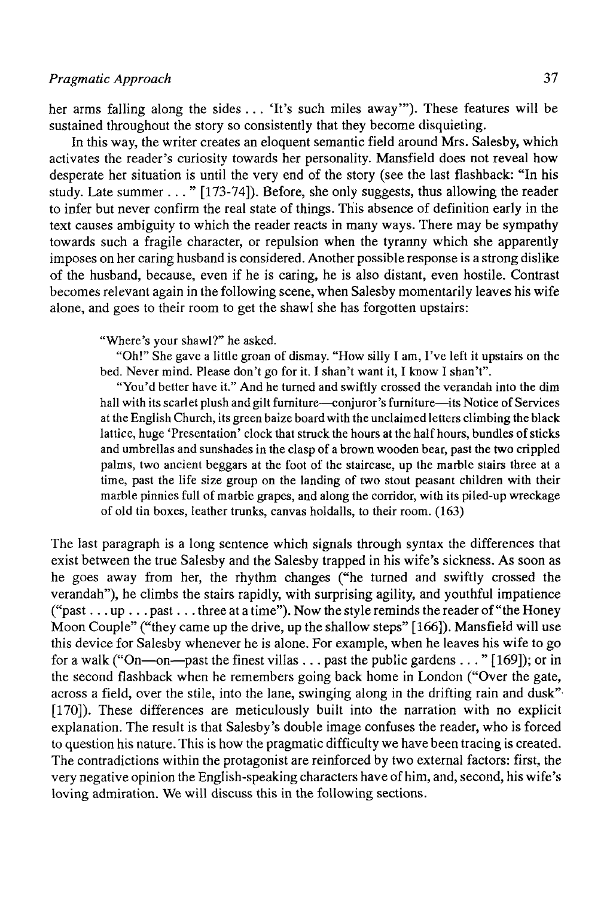her arms falling along the sides . . . 'It's such miles away'"). These features will be sustained throughout the story so consistently that they become disquieting.

In this way, the writer creates an eloquent semantic field around Mrs. Salesby, which activates the reader's curiosity towards her personality. Mansfield does not reveal how desperate her situation is until the very end of the story (see the last flashback: "In his study. Late summer ... " [173-74]). Before, she only suggests, thus allowing the reader to infer but never confirm the real state of things. This absence of definition early in the text causes ambiguity to which the reader reacts in many ways. There may be sympathy towards such a fragüe character, or repulsión when the tyranny which she apparently imposes on her caring husband is considered. Another possible response is a strong dislike of the husband, because, even if he is caring, he is also distant, even hostile. Contrast becomes relevant again in the following scene, when Salesby momentarily leaves his wife alone, and goes to their room to get the shawl she has forgotten upstairs:

"Where's your shawl?" he asked.

"Oh!" She gave a little groan of dismay. "How silly I am, I've left it upstairs on the bed. Never mind. Please don't go for it. I shan't want it, I know I shan't".

"You'd better have it." And he turned and swiftly crossed the verandah into the dim hall with its scarlet plush andgilt furniture—conjuror's furniture—its Notice of Services at the English Church, its green baize board with the unclaimed letters climbing the black lattice, huge 'Presentation' clock that struck the hours at the half hours, bundles of sticks and umbrellas and sunshades in the clasp of a brown wooden bear, past the two crippled palms, two ancient beggars at the foot of the staircase, up the marble stairs three at a time, past the life size group on the landing of two stout peasant children with their marble pinnies full of marble grapes, and along the corridor, with its piled-up wreckage of oíd tin boxes, leather trunks, canvas holdalls, to their room. (163)

The last paragraph is a long sentence which signals through syntax the differences that exist between the true Salesby and the Salesby trapped in his wife's sickness. As soon as he goes away from her, the rhythm changes ("he turned and swiftly crossed the verandah"), he climbs the stairs rapidly, with surprising agility, and youthful impatience ("past...up...past...three at a time"). Now the style reminds the reader of "the Honey" Moon Couple" ("they came up the drive, up the shallow steps" [166]). Mansfield will use this device for Salesby whenever he is alone. For example, when he leaves his wife to go for a walk ("On—on—past the finest villas .. . past the public gardens ... " [169]); or in the second flashback when he remembers going back home in London ("Over the gate, across a field, over the stile, into the lane, swinging along in the drifting rain and dusk" [170]). These differences are meticulously built into the narration with no explicit explanation. The result is that Salesby's double image confuses the reader, who is forced to question his nature. This is how the pragmatic difficulty we have been tracing is created. The contradictions within the protagonist are reinforced by two external factors: first, the very negative opinión the English-speaking characters have of him, and, second, his wife's loving admiration. We will discuss this in the following sections.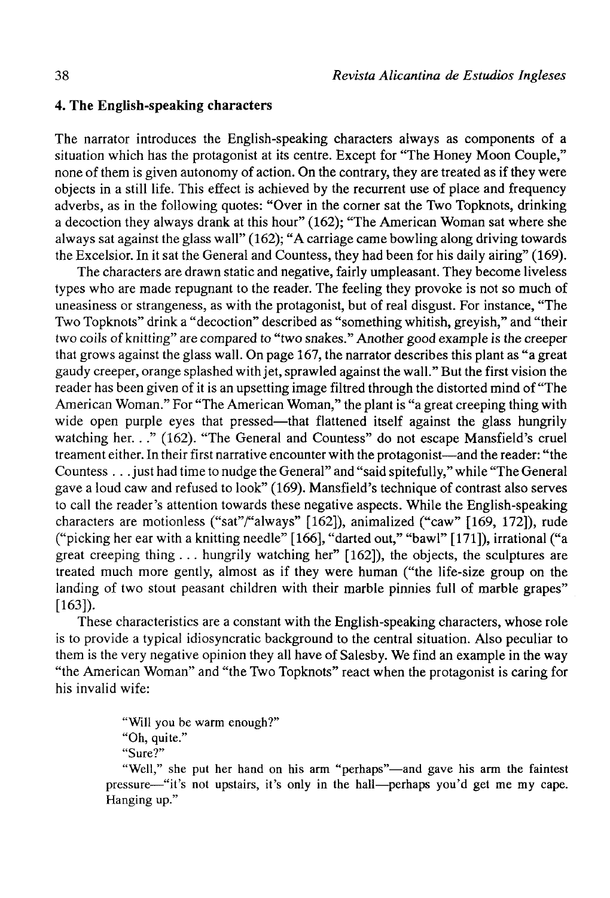#### **4. The English-speaking characters**

The narrator introduces the English-speaking characters always as components of a situation which has the protagonist at its centre. Except for "The Honey Moon Couple," none of them is given autonomy of action. On the contrary, they are treated as if they were objects in a still life. This effect is achieved by the recurrent use of place and frequency adverbs, as in the following quotes: "Over in the corner sat the Two Topknots, drinking a decoction they always drank at this hour" (162); "The American Woman sat where she always sat against the glass wall" (162); "A carriage carne bowling along driving towards the Excelsior. In it sat the General and Countess, they had been for his daily airing" (169).

The characters are drawn static and negative, fairly umpleasant. They become liveless types who are made repugnant to the reader. The feeling they provoke is not so much of uneasiness or strangeness, as with the protagonist, but of real disgust. For instance, "The Two Topknots" drink a "decoction" described as "something whitish, greyish," and "their two coils of knitting" are compared to "two snakes." Another good example is the creeper that grows against the glass wall. On page 167, the narrator describes this plant as "a great gaudy creeper, orange splashed with jet, sprawled against the wall." But the first visión the reader has been given of it is an upsetting image filtred through the distorted mind of "The American Woman." For "The American Woman," the plant is "a great creeping thing with wide open purple eyes that pressed—that flattened itself against the glass hungrily watching her. . ." (162). "The General and Countess" do not escape Mansfield's cruel treament either. In their first narrative encounter with the protagonist—and the reader: "the Countess .. .just had time tonudge the General" and "said spitefully," while "The General gave a loud caw and refused to look" (169). Mansfield's technique of contrast also serves to cali the reader's attention towards these negative aspects. While the English-speaking characters are motionless ("sat"/"always" [162]), animalized ("caw" [169, 172]), rude ("picking her ear with a knitting needle" [166], "darted out," "bawl" [171]), irrational ("a great creeping thing . .. hungrily watching her" [162]), the objects, the sculptures are treated much more gently, almost as if they were human ("the life-size group on the landing of two stout peasant children with their marble pinnies full of marble grapes" [163]).

These characteristics are a constant with the English-speaking characters, whose role is to provide a typical idiosyncratic background to the central situation. Also peculiar to them is the very negative opinion they all have of Salesby. We find an example in the way "the American Woman" and "the Two Topknots" react when the protagonist is caring for his invalid wife:

> "Will you be warm enough?" "Oh, quite." "Sure?"

"Well," she put her hand on his arm "perhaps"—and gave his arm the faintest pressure—"it's not upstairs, it's only in the hall—perhaps you'd get me my cape. Hanging up."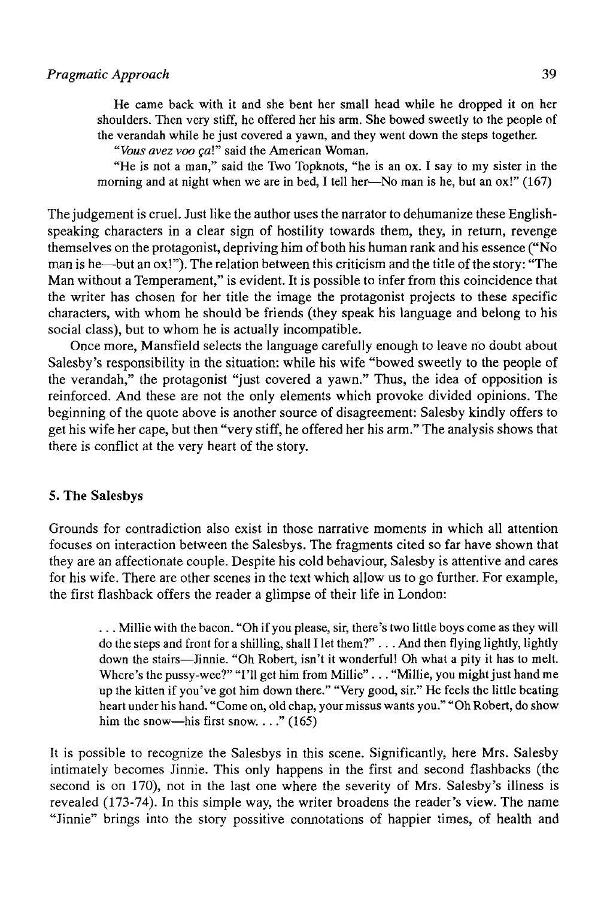He carne back with it and she bent her small head while he dropped it on her shoulders. Then very stiff, he offered her his arm. She bowed sweetly to the people of the verandah while he just covered a yawn, and they went down the steps together.

*"Vous avez voo gal"* said the American Woman.

"He is not a man," said the Two Topknots, "he is an ox. I say to my sister in the morning and at night when we are in bed, I tell her—No man is he, but an ox!" (167)

The judgement is cruel. Just like the author uses the narrator to dehumanize these Englishspeaking characters in a clear sign of hostility towards them, they, in return, revenge themselves on the protagonist, depriving him of both his human rank and his essence ("No man is he—but an ox!"). The relation between this criticism and the title of the story: "The Man without a Temperament," is evident. It is possible to infer from this coincidence that the writer has chosen for her title the image the protagonist projects to these specific characters, with whom he should be friends (they speak his language and belong to his social class), but to whom he is actually incompatible.

Once more, Mansfield selects the language carefully enough to leave no doubt about Salesby's responsibility in the situation: while his wife "bowed sweetly to the people of the verandah," the protagonist "just covered a yawn." Thus, the idea of opposition is reinforced. And these are not the only elements which provoke divided opinions. The beginning of the quote above is another source of disagreement: Salesby kindly offers to get his wife her cape, but then "very stiff, he offered her his arm." The analysis shows that there is conflict at the very heart of the story.

#### 5. **The** Salesbys

Grounds for contradiction also exist in those narrative moments in which all attention focuses on interaction between the Salesbys. The fragments cited so far have shown that they are an affectionate couple. Despite his cold behaviour, Salesby is attentive and cares for his wife. There are other scenes in the text which allow us to go further. For example, the first flashback offers the reader a glimpse of their life in London:

. . . Millie with the bacon. "Oh if you please, sir, there's two little boys come as they will do the steps and front for a shilling, shall I let them?" .. . And then flying lightly, lightly down the stairs—Jinnie. "Oh Robert, isn't it wonderful! Oh what a pity it has to melt. Where's the pussy-wee?" "I'll get him from Millie" . . . "Millie, you might just hand me up the kitten if you've got him down there." "Very good, sir." He feels the little beating heart under his hand. "Come on, oíd chap, yourmissus wants you." "Oh Robert, do show him the snow—his first snow. . . ."  $(165)$ 

It is possible to recognize the Salesbys in this scene. Significantly, here Mrs. Salesby intimately becomes Jinnie. This only happens in the first and second flashbacks (the second is on 170), not in the last one where the severity of Mrs. Salesby's illness is revealed (173-74). In this simple way, the writer broadens the reader's view. The name "Jinnie" brings into the story possitive connotations of happier times, of health and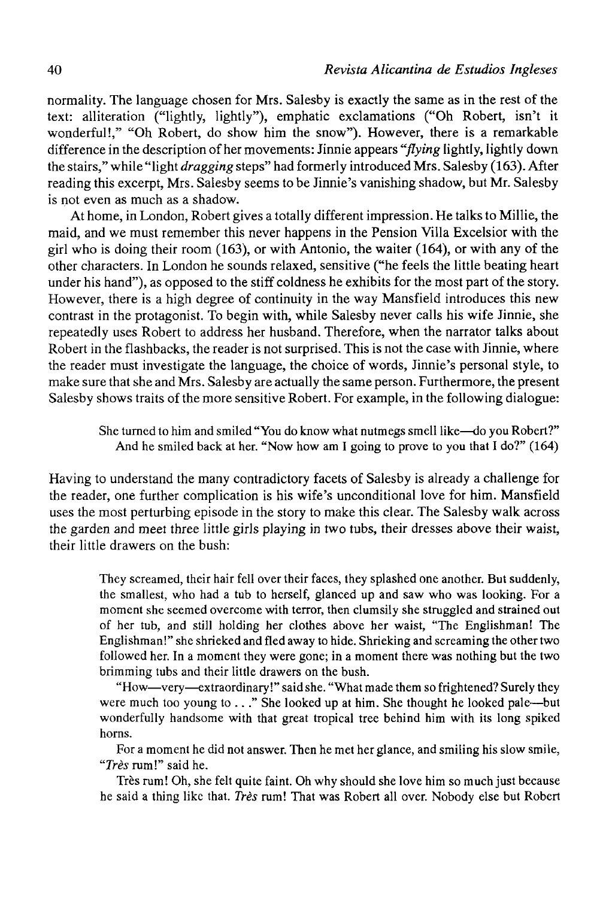normality. The language chosen for Mrs. Salesby is exactly the same as in the rest of the text: alliteration ("lightly, lightly"), emphatic exclamations ("Oh Robert, isn't it wonderful!," "Oh Robert, do show him the snow"). However, there is a remarkable difference in the description of her movements: Jinnie appears *"flying* lightly, lightly down the stairs," while "light *dragging* steps" had formerly introduced Mrs. Salesby (163). After reading this excerpt, Mrs. Salesby seems to be Jinnie's vanishing shadow, but Mr. Salesby is not even as much as a shadow.

At home, in London, Robert gives a totally different impression. He talks to Millie, the maid, and we must remember this never happens in the Pensión Villa Excelsior with the girl who is doing their room (163), or with Antonio, the waiter (164), or with any of the other characters. In London he sounds relaxed, sensitive ("he feels the little beating heart under his hand"), as opposed to the stiff coldness he exhibits for the most part of the story. However, there is a high degree of continuity in the way Mansfield introduces this new contrast in the protagonist. To begin with, while Salesby never calis his wife Jinnie, she repeatedly uses Robert to address her husband. Therefore, when the narrator talles about Robert in the flashbacks, the reader is not surprised. This is not the case with Jinnie, where the reader must investigate the language, the choice of words, Jinnie's personal style, to make sure that she and Mrs. Salesby are actually the same person. Furthermore, the present Salesby shows traits of the more sensitive Robert. For example, in the following dialogue:

> She turned to him and smiled "You do know what nutmegs smell like—do you Robert?" And he smiled back at her. "Now how am I going to prove to you that I do?" (164)

Having to understand the many contradictory facets of Salesby is already a challenge for the reader, one further complication is his wife's unconditional love for him. Mansfield uses the most perturbing episode in the story to make this clear. The Salesby walk across the garden and meet three little girls playing in two tubs, their dresses above their waist, their little drawers on the bush:

They screamed, their hair fell over their faces, they splashed one another. But suddenly, the smallest, who had a tub to herself, glanced up and saw who was looking. For a moment she seemed overcome with terror, then clumsily she struggled and strained out of her tub, and still holding her clothes above her waist, "The Englishman! The Englishman!" she shrieked and fled away to hide. Shrieking and screaming the other two followed her. In a moment they were gone; in a moment there was nothing but the two brimming tubs and their little drawers on the bush.

"How—very—extraordinary!" said she. "What made them so frightened? Surely they were much too young to . . ." She looked up at him. She thought he looked pale—but wonderfully handsome with that great tropical tree behind him with its long spiked horns.

For a moment he did not answer. Then he met her glance, and smiling his slow smile, *"Tres* rum!" said he.

Très rum! Oh, she felt quite faint. Oh why should she love him so much just because he said a thing like that. *Tres* rum! That was Robert all over. Nobody else but Robert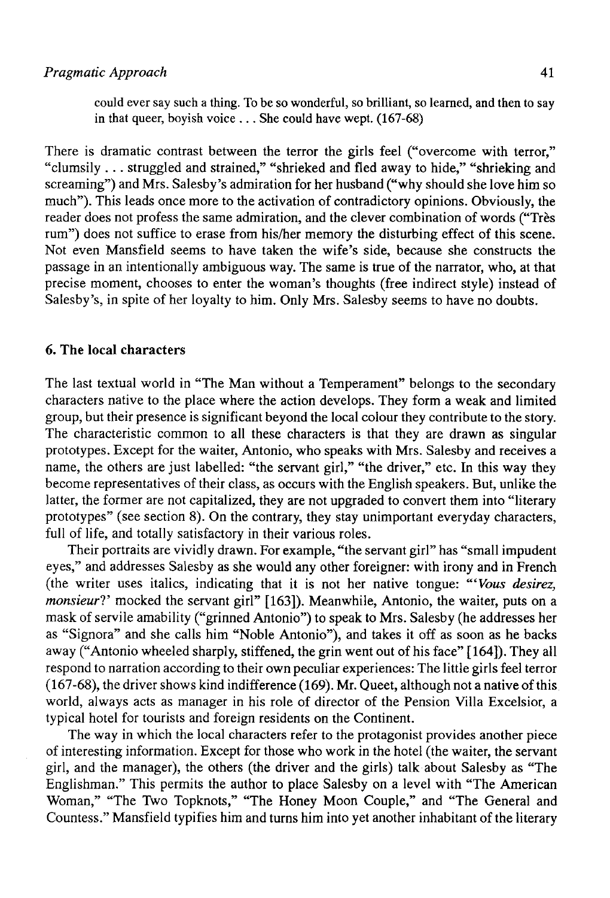could ever say such a thing. To be so wonderful, so brilliant, so learned, and then to say in that queer, boyish voice .. . She could have wept. (167-68)

There is dramatic contrast between the terror the girls feel ("overcome with terror," "clumsily . .. struggled and strained," "shrieked and fled away to hide," "shrieking and screaming") and Mrs. Salesby's admiration for her husband ("why should she love him so much"). This leads once more to the activation of contradictory opinions. Obviously, the reader does not profess the same admiration, and the clever combination of words ("Tres rum") does not suffice to erase from his/her memory the disturbing effect of this scene. Not even Mansfield seems to have taken the wife's side, because she construets the passage in an intentionally ambiguous way. The same is true of the narrator, who, at that precise moment, chooses to enter the woman's thoughts (free indirect style) instead of Salesby's, in spite of her loyalty to him. Only Mrs. Salesby seems to have no doubts.

#### **6. The local characters**

The last textual world in "The Man without a Temperament" belongs to the secondary characters native to the place where the action develops. They form a weak and limited group, but their presence is significant beyond the local colour they contribute to the story. The characteristic common to all these characters is that they are drawn as singular prototypes. Except for the waiter, Antonio, who speaks with Mrs. Salesby and receives a ñame, the others are just labelled: "the servant girl," "the driver," etc. In this way they become representatives of their class, as oceurs with the English speakers. But, unlike the latter, the former are not capitalized, they are not upgraded to convert them into "literary prototypes" (see section 8). On the contrary, they stay unimportant everyday characters, full of life, and totally satisfactory in their various roles.

Their portraits are vividly drawn. For example, "the servant girl" has "small impudent eyes," and addresses Salesby as she would any other foreigner: with irony and in French (the writer uses italics, indicating that it is not her native tongue: *"'Vous desirez, monsieur?'* mocked the servant girl" [163]). Meanwhile, Antonio, the waiter, puts on a mask of servile amability ("grinned Antonio") to speak to Mrs. Salesby (he addresses her as "Signora" and she calis him "Noble Antonio"), and takes it off as soon as he backs away ("Antonio wheeled sharply, stiffened, the grin went out of his face" [164]). They all respond to narration according to their own peculiar experiences: The little girls feel terror (167-68), the driver shows kind indifference (169). Mr. Queet, although not a native of this world, always acts as manager in his role of director of the Pension Villa Excelsior, a typical hotel for tourists and foreign residents on the Continent.

The way in which the local characters refer to the protagonist provides another piece of interesting information. Except for those who work in the hotel (the waiter, the servant girl, and the manager), the others (the driver and the girls) talk about Salesby as "The Englishman." This permits the author to place Salesby on a level with "The American Woman," "The Two Topknots," "The Honey Moon Couple," and "The General and Countess." Mansfield typifies him and turns him into yet another inhabitant of the literary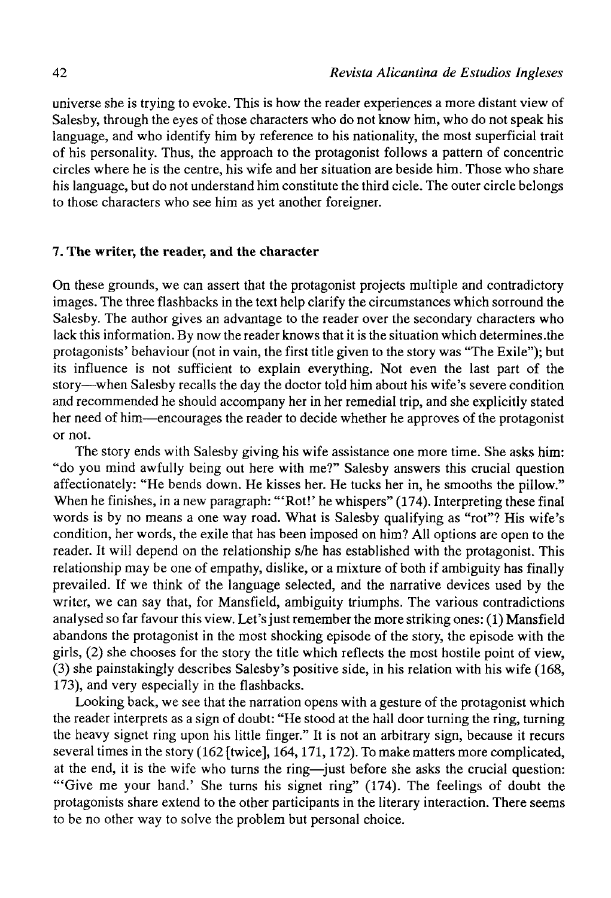universe she is trying to evoke. This is how the reader experiences a more distant view of Salesby, through the eyes of those characters who do not know him, who do not speak his language, and who identify him by reference to his nationality, the most superficial trait of his personality. Thus, the approach to the protagonist follows a pattern of concentric circles where he is the centre, his wife and her situation are beside him. Those who share his language, but do not understand him constitute the third cicle. The outer circle belongs to those characters who see him as yet another foreigner.

#### **7. The writer, the reader, and the character**

On these grounds, we can assert that the protagonist projects multiple and contradictory images. The three flashbacks in the text help clarify the circumstances which sorround the Salesby. The author gives an advantage to the reader over the secondary characters who lack this information. By now the reader knows that it is the situation which determines.the protagonists' behaviour (not in vain, the first title given to the story was "The Exile"); but its influence is not sufficient to explain everything. Not even the last part of the story—when Salesby recalls the day the doctor told him about his wife's severe condition and recommended he should accompany her in her remedial trip, and she explicitly stated her need of him—encourages the reader to decide whether he approves of the protagonist or not.

The story ends with Salesby giving his wife assistance one more time. She asks him: "do you mind awfully being out here with me?" Salesby answers this crucial question affectionately: "He bends down. He kisses her. He tucks her in, he smooths the pillow." When he finishes, in a new paragraph: "'Rot!' he whispers" (174). Interpreting these final words is by no means a one way road. What is Salesby qualifying as "rot"? His wife's condition, her words, the exile that has been imposed on him? All options are open to the reader. It will depend on the relationship s/he has established with the protagonist. This relationship may be one of empathy, dislike, or a mixture of both if ambiguity has finally prevailed. If we think of the language selected, and the narrative devices used by the writer, we can say that, for Mansfield, ambiguity triumphs. The various contradictions analysed so far favour this view. Let's just remember the more striking ones: (1) Mansfield abandons the protagonist in the most shocking episode of the story, the episode with the girls, (2) she chooses for the story the title which reflects the most hostile point of view, (3) she painstakingly describes Salesby's positive side, in his relation with his wife (168, 173), and very especially in the flashbacks.

Looking back, we see that the narration opens with a gesture of the protagonist which the reader interprets as a sign of doubt: "He stood at the hall door turning the ring, turning the heavy signet ring upon his little fingen" It is not an arbitrary sign, because it recurs several times in the story (162 [twice], 164,171,172). To make matters more complicated, at the end, it is the wife who turas the ring—just before she asks the crucial question: "'Give me your hand.' She turns his signet ring" (174). The feelings of doubt the protagonists share extend to the other participants in the literary interaction. There seems to be no other way to solve the problem but personal choice.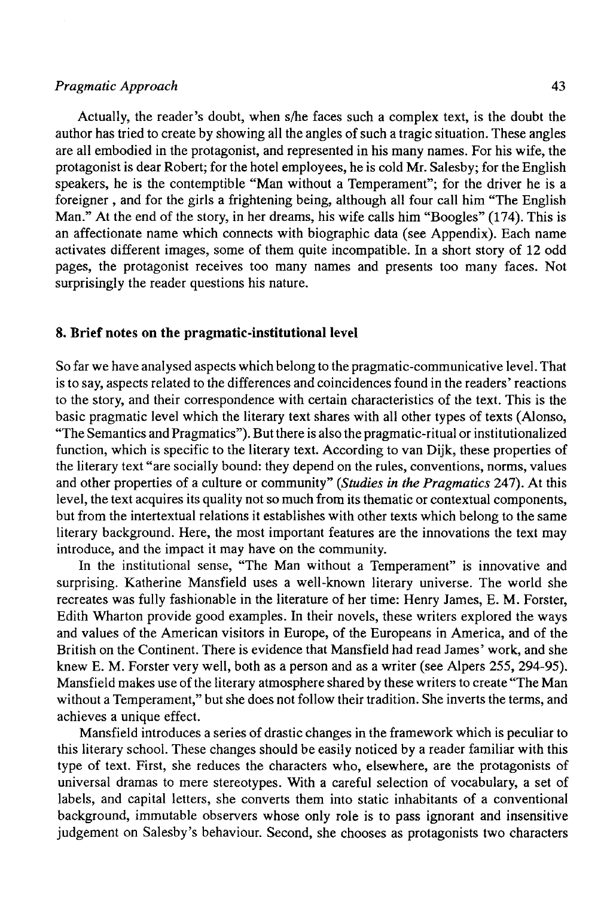#### *Pragmatic Approach* **43**

Actually, the reader's doubt, when s/he faces such a complex text, is the doubt the author has tried to create by showing all the angles of such a tragic situation. These angles are all embodied in the protagonist, and represented in his many ñames. For his wife, the protagonist is dear Robert; for the hotel employees, he is cold Mr. Salesby; for the English speakers, he is the contemptible "Man without a Temperament"; for the driver he is a foreigner , and for the girls a frightening being, although all four cali him "The English Man." At the end of the story, in her dreams, his wife calis him "Boogles" (174). This is an affectionate name which connects with biographic data (see Appendix). Each name activates different images, some of them quite incompatible. In a short story of 12 odd pages, the protagonist receives too many ñames and presents too many faces. Not surprisingly the reader questions his nature.

#### **8. Brief notes on the pragmatic-institutional level**

So far we have analysed aspects which belong to the pragmatic-communicative level. That is to say, aspects related to the differences and coincidences found in the readers' reactions to the story, and their correspondence with certain characteristics of the text. This is the basic pragmatic level which the literary text shares with all other types of texts (Alonso, "The Semantics and Pragmatics"). But there is also the pragmatic-ritual or institutionalized function, which is specific to the literary text. According to van Dijk, these properties of the literary text "are socially bound: they depend on the rules, conventions, norms, valúes and other properties of a culture or community" *(Studies in the Pragmatics* 247). At this level, the text acquires its quality not so much from its thematic or contextual components, but from the intertextual relations it establishes with other texts which belong to the same literary background. Here, the most important features are the innovations the text may introduce, and the impact it may have on the community.

In the institutional sense, "The Man without a Temperament" is innovative and surprising. Katherine Mansfield uses a well-known literary universe. The world she recreates was fully fashionable in the literature of her time: Henry James, E. M. Forster, Edith Wharton provide good examples. In their novéis, these writers explored the ways and valúes of the American visitors in Europe, of the Europeans in America, and of the British on the Continent. There is evidence that Mansfield had read James' work, and she knew E. M. Forster very well, both as a person and as a writer (see Alpers 255, 294-95). Mansfield makes use of the literary atmosphere shared by these writers to create "The Man without a Temperament," but she does not follow their tradition. She inverts the terms, and achieves a unique effect.

Mansfield introduces a series of drastic changes in the framework which is peculiar to this literary school. These changes should be easily noticed by a reader familiar with this type of text. First, she reduces the characters who, elsewhere, are the protagonists of universal dramas to mere stereotypes. With a careful selection of vocabulary, a set of labels, and capital letters, she converts them into static inhabitants of a conventional background, immutable observers whose only role is to pass ignorant and insensitive judgement on Salesby's behaviour. Second, she chooses as protagonists two characters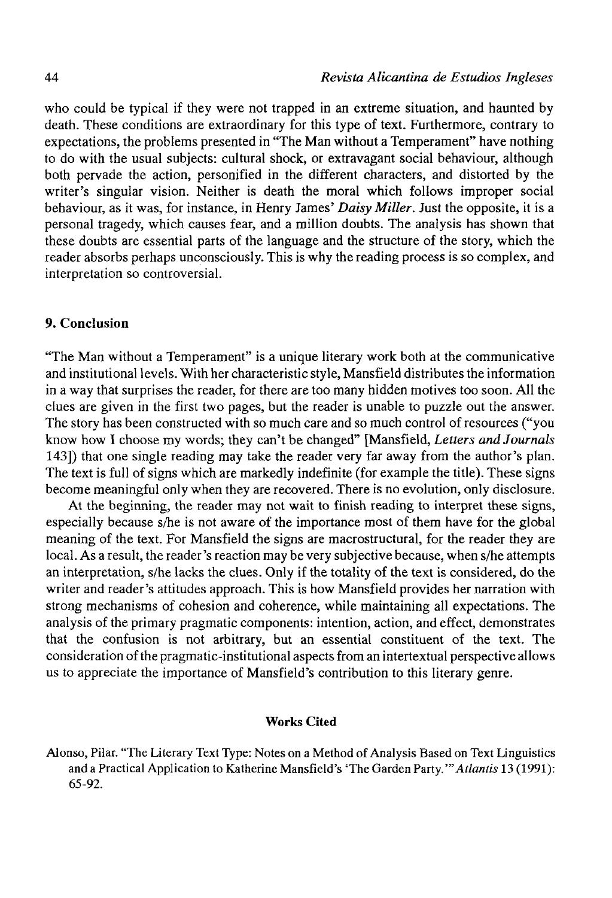who could be typical if they were not trapped in an extreme situation, and haunted by death. These conditions are extraordinary for this type of text. Furthermore, contrary to expectations, the problems presented in "The Man without a Temperament" have nothíng to do with the usual subjects: cultural shock, or extravagant social behaviour, although both pervade the action, personified in the different characters, and distorted by the writer's singular visión. Neither is death the moral which follows improper social behaviour, as it was, for instance, in Henry James' *Daisy Miller.* Just the opposite, it is a personal tragedy, which causes fear, and a million doubts. The analysis has shown that these doubts are essential parts of the language and the structure of the story, which the reader absorbs perhaps unconsciously. This is why the reading process is so complex, and interpretation so controversial.

## 9. Conclusión

"The Man without a Temperament" is a unique literary work both at the communicative and institutional levéis. With her characteristic style, Mansfield distributes the information in a way that surprises the reader, for there are too many hidden motives too soon. All the clues are given in the first two pages, but the reader is unable to puzzle out the answer. The story has been constructed with so much care and so much control of resources ("you know how I choose my words; they can't be changed" [Mansfield, *Letters andJournals*  143]) that one single reading may take the reader very far away from the author's plan. The text is full of signs which are markedly indefinite (for example the title). These signs become meaningful only when they are recovered. There is no evolution, only disclosure.

At the beginning, the reader may not wait to finish reading to interpret these signs, especially because s/he is not aware of the importance most of them have for the global meaning of the text. For Mansfield the signs are macrostructural, for the reader they are local. As a result, the reader's reaction may be very subjective because, when s/he attempts an interpretation, s/he lacks the clues. Only if the totality of the text is considered, do the writer and reader's attitudes approach. This is how Mansfield provides her narration with strong mechanisms of cohesión and coherence, while maintaining all expectations. The analysis of the primary pragmatic components: intention, action, and effect, demonstrates that the confusión is not arbitrary, but an essential constituent of the text. The consideration of the pragmatic-institutional aspects from an intertextual perspective allows us to appreciate the importance of Mansfield's contribution to this literary genre.

## Works Cited

Alonso, Pilar. "The Literary Text Type: Notes on a Method of Analysis Based on Text Linguistics and a Practical Application to Katherine Mansfield's "The Garden *Party.'"Atlantis* 13 (1991): 65-92.